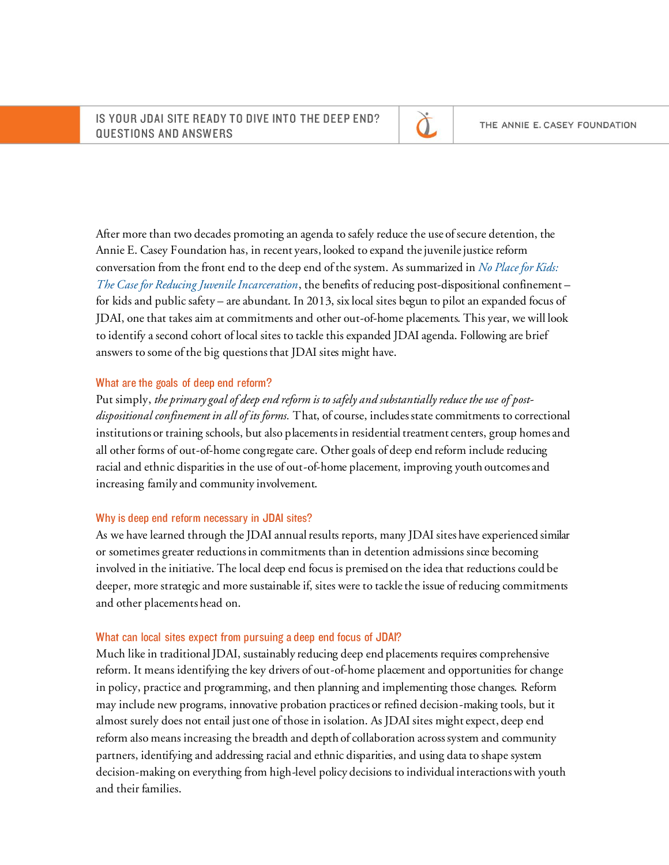

After more than two decades promoting an agenda to safely reduce the use of secure detention, the Annie E. Casey Foundation has, in recent years, looked to expand the juvenile justice reform conversation from the front end to the deep end of the system. As summarized in *[No Place for Kids:](http://www.aecf.org/resources/no-place-for-kids-full-report/)  [The Case for Reducing Juvenile Incarceration](http://www.aecf.org/resources/no-place-for-kids-full-report/)*, the benefits of reducing post-dispositional confinement – for kids and public safety – are abundant. In 2013, six local sites begun to pilot an expanded focus of JDAI, one that takes aim at commitments and other out-of-home placements. This year, we will look to identify a second cohort of local sites to tackle this expanded JDAI agenda. Following are brief answers to some of the big questions that JDAI sites might have.

# What are the goals of deep end reform?

Put simply, *the primary goal of deep end reform is to safely and substantially reduce the use of postdispositional confinement in all of its forms.* That, of course, includes state commitments to correctional institutions or training schools, but also placements in residential treatment centers, group homes and all other forms of out-of-home congregate care. Other goals of deep end reform include reducing racial and ethnic disparities in the use of out-of-home placement, improving youth outcomes and increasing family and community involvement.

# Why is deep end reform necessary in JDAI sites?

As we have learned through the JDAI annual results reports, many JDAI sites have experienced similar or sometimes greater reductions in commitments than in detention admissions since becoming involved in the initiative. The local deep end focus is premised on the idea that reductions could be deeper, more strategic and more sustainable if, sites were to tackle the issue of reducing commitments and other placements head on.

# What can local sites expect from pursuing a deep end focus of JDAI?

Much like in traditional JDAI, sustainably reducing deep end placements requires comprehensive reform. It means identifying the key drivers of out-of-home placement and opportunities for change in policy, practice and programming, and then planning and implementing those changes. Reform may include new programs, innovative probation practices or refined decision-making tools, but it almost surely does not entail just one of those in isolation. As JDAI sites might expect, deep end reform also means increasing the breadth and depth of collaboration across system and community partners, identifying and addressing racial and ethnic disparities, and using data to shape system decision-making on everything from high-level policy decisions to individual interactions with youth and their families.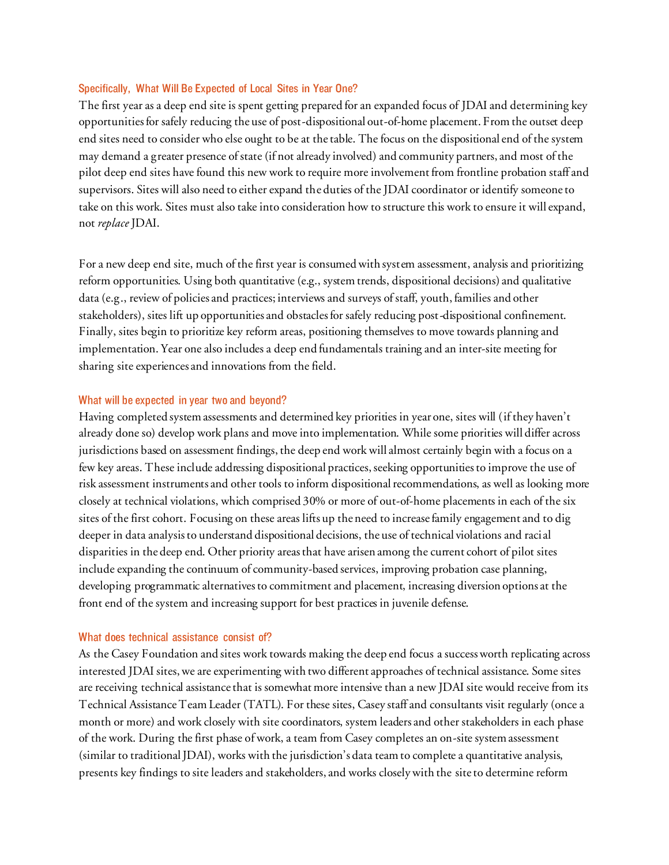# Specifically, What Will Be Expected of Local Sites in Year One?

The first year as a deep end site is spent getting prepared for an expanded focus of JDAI and determining key opportunities for safely reducing the use of post-dispositional out-of-home placement. From the outset deep end sites need to consider who else ought to be at the table. The focus on the dispositional end of the system may demand a greater presence of state (if not already involved) and community partners, and most of the pilot deep end sites have found this new work to require more involvement from frontline probation staff and supervisors. Sites will also need to either expand the duties of the JDAI coordinator or identify someone to take on this work. Sites must also take into consideration how to structure this work to ensure it will expand, not *replace* JDAI.

For a new deep end site, much of the first year is consumed with system assessment, analysis and prioritizing reform opportunities. Using both quantitative (e.g., system trends, dispositional decisions) and qualitative data (e.g., review of policies and practices; interviews and surveys of staff, youth, families and other stakeholders), sites lift up opportunities and obstacles for safely reducing post-dispositional confinement. Finally, sites begin to prioritize key reform areas, positioning themselves to move towards planning and implementation. Year one also includes a deep end fundamentals training and an inter-site meeting for sharing site experiences and innovations from the field.

# What will be expected in year two and beyond?

Having completed system assessments and determined key priorities in year one, sites will (if they haven't already done so) develop work plans and move into implementation. While some priorities will differ across jurisdictions based on assessment findings, the deep end work will almost certainly begin with a focus on a few key areas. These include addressing dispositional practices, seeking opportunities to improve the use of risk assessment instruments and other tools to inform dispositional recommendations, as well as looking more closely at technical violations, which comprised 30% or more of out-of-home placements in each of the six sites of the first cohort. Focusing on these areas lifts up the need to increase family engagement and to dig deeper in data analysis to understand dispositional decisions, the use of technical violations and raci al disparities in the deep end. Other priority areas that have arisen among the current cohort of pilot sites include expanding the continuum of community-based services, improving probation case planning, developing programmatic alternatives to commitment and placement, increasing diversion options at the front end of the system and increasing support for best practices in juvenile defense.

#### What does technical assistance consist of?

As the Casey Foundation and sites work towards making the deep end focus a success worth replicating across interested JDAI sites, we are experimenting with two different approaches of technical assistance. Some sites are receiving technical assistance that is somewhat more intensive than a new JDAI site would receive from its Technical Assistance Team Leader (TATL). For these sites, Casey staff and consultants visit regularly (once a month or more) and work closely with site coordinators, system leaders and other stakeholders in each phase of the work. During the first phase of work, a team from Casey completes an on-site system assessment (similar to traditional JDAI), works with the jurisdiction's data team to complete a quantitative analysis, presents key findings to site leaders and stakeholders, and works closely with the site to determine reform